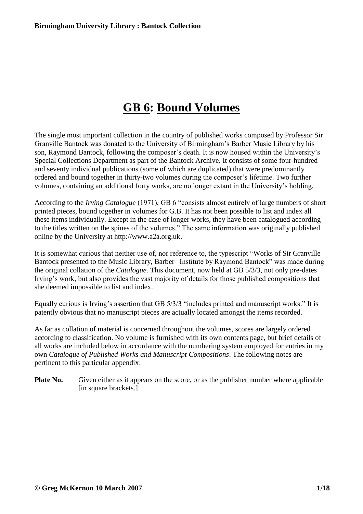# **GB 6: Bound Volumes**

The single most important collection in the country of published works composed by Professor Sir Granville Bantock was donated to the University of Birmingham's Barber Music Library by his son, Raymond Bantock, following the composer's death. It is now housed within the University's Special Collections Department as part of the Bantock Archive. It consists of some four-hundred and seventy individual publications (some of which are duplicated) that were predominantly ordered and bound together in thirty-two volumes during the composer's lifetime. Two further volumes, containing an additional forty works, are no longer extant in the University's holding.

According to the *Irving Catalogue* (1971), GB 6 "consists almost entirely of large numbers of short printed pieces, bound together in volumes for G.B. It has not been possible to list and index all these items individually. Except in the case of longer works, they have been catalogued according to the titles written on the spines of the volumes." The same information was originally published online by the University at http://www.a2a.org.uk.

It is somewhat curious that neither use of, nor reference to, the typescript "Works of Sir Granville Bantock presented to the Music Library, Barber | Institute by Raymond Bantock" was made during the original collation of the *Catalogue*. This document, now held at GB 5/3/3, not only pre-dates Irving's work, but also provides the vast majority of details for those published compositions that she deemed impossible to list and index.

Equally curious is Irving's assertion that GB 5/3/3 "includes printed and manuscript works." It is patently obvious that no manuscript pieces are actually located amongst the items recorded.

As far as collation of material is concerned throughout the volumes, scores are largely ordered according to classification. No volume is furnished with its own contents page, but brief details of all works are included below in accordance with the numbering system employed for entries in my own *Catalogue of Published Works and Manuscript Compositions*. The following notes are pertinent to this particular appendix:

**Plate No.** Given either as it appears on the score, or as the publisher number where applicable [in square brackets.]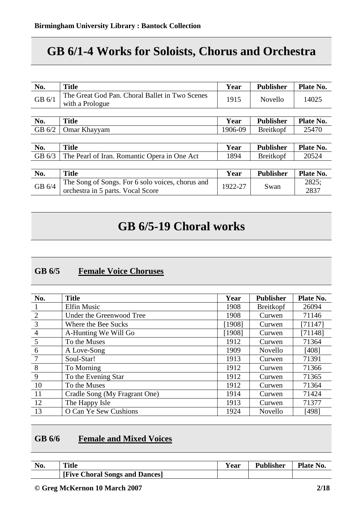# **GB 6/1-4 Works for Soloists, Chorus and Orchestra**

| No.      | <b>Title</b>                                                                          | Year    | <b>Publisher</b> | Plate No.     |
|----------|---------------------------------------------------------------------------------------|---------|------------------|---------------|
| GB 6/1   | The Great God Pan. Choral Ballet in Two Scenes<br>with a Prologue                     | 1915    | Novello          | 14025         |
|          |                                                                                       |         |                  |               |
| No.      | <b>Title</b>                                                                          | Year    | <b>Publisher</b> | Plate No.     |
| GB 6/2   | Omar Khayyam                                                                          | 1906-09 | <b>Breitkopf</b> | 25470         |
|          |                                                                                       |         |                  |               |
| No.      | <b>Title</b>                                                                          | Year    | <b>Publisher</b> | Plate No.     |
| GB $6/3$ | The Pearl of Iran. Romantic Opera in One Act                                          | 1894    | Breitkopf        | 20524         |
|          |                                                                                       |         |                  |               |
| No.      | <b>Title</b>                                                                          | Year    | <b>Publisher</b> | Plate No.     |
| GB 6/4   | The Song of Songs. For 6 solo voices, chorus and<br>orchestra in 5 parts. Vocal Score | 1922-27 | Swan             | 2825;<br>2837 |

# **GB 6/5-19 Choral works**

### **GB 6/5 Female Voice Choruses**

| No.             | <b>Title</b>                  | Year   | <b>Publisher</b> | Plate No. |
|-----------------|-------------------------------|--------|------------------|-----------|
|                 | <b>Elfin Music</b>            | 1908   | <b>Breitkopf</b> | 26094     |
| 2               | Under the Greenwood Tree      | 1908   | Curwen           | 71146     |
| $\overline{3}$  | Where the Bee Sucks           | [1908] | Curwen           | [71147]   |
| $\overline{4}$  | A-Hunting We Will Go          | [1908] | Curwen           | [71148]   |
| $5\overline{)}$ | To the Muses                  | 1912   | Curwen           | 71364     |
| 6               | A Love-Song                   | 1909   | Novello          | [408]     |
| 7               | Soul-Star!                    | 1913   | Curwen           | 71391     |
| 8               | To Morning                    | 1912   | Curwen           | 71366     |
| 9               | To the Evening Star           | 1912   | Curwen           | 71365     |
| <b>10</b>       | To the Muses                  | 1912   | Curwen           | 71364     |
| -11             | Cradle Song (My Fragrant One) | 1914   | Curwen           | 71424     |
| 12              | The Happy Isle                | 1913   | Curwen           | 71377     |
| 13              | O Can Ye Sew Cushions         | 1924   | Novello          | [498]     |

## **GB 6/6 Female and Mixed Voices**

| No. | <b>Title</b>                   | Y ear | Publisher | Plate No. |
|-----|--------------------------------|-------|-----------|-----------|
|     | [Five Choral Songs and Dances] |       |           |           |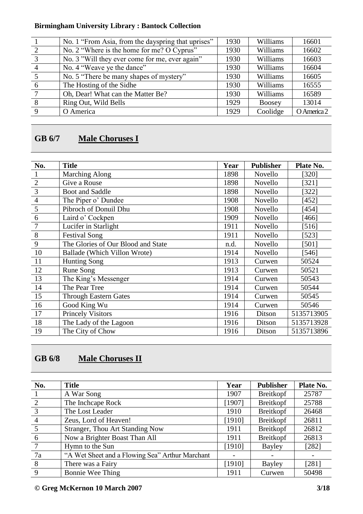|                | No. 1 "From Asia, from the dayspring that uprises" | 1930 | Williams | 16601       |
|----------------|----------------------------------------------------|------|----------|-------------|
| $\mathcal{L}$  | No. 2 "Where is the home for me? O Cyprus"         | 1930 | Williams | 16602       |
| $\overline{3}$ | No. 3 "Will they ever come for me, ever again"     | 1930 | Williams | 16603       |
| $\overline{4}$ | No. 4 "Weave ye the dance"                         | 1930 | Williams | 16604       |
|                | No. 5 "There be many shapes of mystery"            | 1930 | Williams | 16605       |
| 6              | The Hosting of the Sidhe                           | 1930 | Williams | 16555       |
| 7              | Oh, Dear! What can the Matter Be?                  | 1930 | Williams | 16589       |
| 8              | Ring Out, Wild Bells                               | 1929 | Boosey   | 13014       |
| $\Omega$       | O America                                          | 1929 | Coolidge | O America 2 |
|                |                                                    |      |          |             |

# **GB 6/7 Male Choruses I**

| No.            | <b>Title</b>                       | Year | <b>Publisher</b> | Plate No.  |
|----------------|------------------------------------|------|------------------|------------|
|                | <b>Marching Along</b>              | 1898 | Novello          | [320]      |
| $\overline{2}$ | Give a Rouse                       | 1898 | Novello          | [321]      |
| 3              | Boot and Saddle                    | 1898 | Novello          | [322]      |
| $\overline{4}$ | The Piper o' Dundee                | 1908 | Novello          | [452]      |
| 5              | Pibroch of Donuil Dhu              | 1908 | Novello          | [454]      |
| 6              | Laird o' Cockpen                   | 1909 | Novello          | [466]      |
| 7              | Lucifer in Starlight               | 1911 | Novello          | [516]      |
| 8              | <b>Festival Song</b>               | 1911 | Novello          | $[523]$    |
| 9              | The Glories of Our Blood and State | n.d. | Novello          | $[501]$    |
| 10             | Ballade (Which Villon Wrote)       | 1914 | Novello          | [546]      |
| 11             | <b>Hunting Song</b>                | 1913 | Curwen           | 50524      |
| 12             | Rune Song                          | 1913 | Curwen           | 50521      |
| 13             | The King's Messenger               | 1914 | Curwen           | 50543      |
| 14             | The Pear Tree                      | 1914 | Curwen           | 50544      |
| 15             | <b>Through Eastern Gates</b>       | 1914 | Curwen           | 50545      |
| 16             | Good King Wu                       | 1914 | Curwen           | 50546      |
| 17             | <b>Princely Visitors</b>           | 1916 | Ditson           | 5135713905 |
| 18             | The Lady of the Lagoon             | 1916 | Ditson           | 5135713928 |
| 19             | The City of Chow                   | 1916 | Ditson           | 5135713896 |

# **GB 6/8 Male Choruses II**

| No.             | <b>Title</b>                                    | Year                     | <b>Publisher</b> | Plate No. |
|-----------------|-------------------------------------------------|--------------------------|------------------|-----------|
|                 | A War Song                                      | 1907                     | Breitkopf        | 25787     |
| 2               | The Inchcape Rock                               | [1907]                   | Breitkopf        | 25788     |
| $\overline{3}$  | The Lost Leader                                 | 1910                     | Breitkopf        | 26468     |
| $\overline{4}$  | Zeus, Lord of Heaven!                           | [1910]                   | Breitkopf        | 26811     |
| $5\overline{5}$ | <b>Stranger, Thou Art Standing Now</b>          | 1911                     | <b>Breitkopf</b> | 26812     |
| 6               | Now a Brighter Boast Than All                   | 1911                     | Breitkopf        | 26813     |
| $\tau$          | Hymn to the Sun                                 | [1910]                   | Bayley           | $[282]$   |
| 7a              | "A Wet Sheet and a Flowing Sea" Arthur Marchant | $\overline{\phantom{0}}$ |                  |           |
| 8               | There was a Fairy                               | [1910]                   | Bayley           | [281]     |
| 9               | Bonnie Wee Thing                                | 1911                     | Curwen           | 50498     |

**© Greg McKernon 10 March 2007 3/18**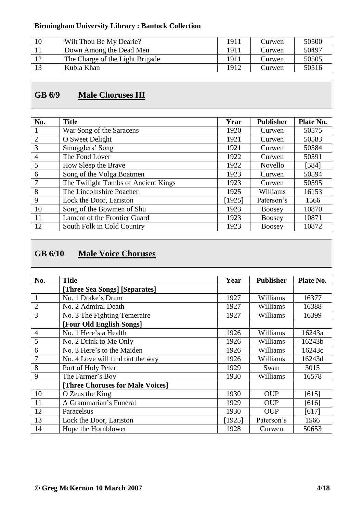| 10 | Wilt Thou Be My Dearie?         | 1911 | Curwen | 50500 |
|----|---------------------------------|------|--------|-------|
|    | Down Among the Dead Men         | 1911 | Curwen | 50497 |
|    | The Charge of the Light Brigade | 1911 | Curwen | 50505 |
|    | Kubla Khan                      | 1912 | Curwen | 50516 |

# **GB 6/9 Male Choruses III**

| No.             | <b>Title</b>                        | Year   | <b>Publisher</b> | Plate No. |
|-----------------|-------------------------------------|--------|------------------|-----------|
|                 | War Song of the Saracens            | 1920   | Curwen           | 50575     |
| 2               | O Sweet Delight                     | 1921   | Curwen           | 50583     |
| $\overline{3}$  | Smugglers' Song                     | 1921   | Curwen           | 50584     |
| $\overline{4}$  | The Fond Lover                      | 1922   | Curwen           | 50591     |
| $5\overline{)}$ | How Sleep the Brave                 | 1922   | Novello          | [584]     |
| 6               | Song of the Volga Boatmen           | 1923   | Curwen           | 50594     |
| $7\phantom{.0}$ | The Twilight Tombs of Ancient Kings | 1923   | Curwen           | 50595     |
| 8               | The Lincolnshire Poacher            | 1925   | Williams         | 16153     |
| 9               | Lock the Door, Lariston             | [1925] | Paterson's       | 1566      |
| 10              | Song of the Bowmen of Shu           | 1923   | <b>Boosey</b>    | 10870     |
| <sup>11</sup>   | Lament of the Frontier Guard        | 1923   | <b>Boosey</b>    | 10871     |
| 12              | South Folk in Cold Country          | 1923   | <b>Boosey</b>    | 10872     |

# **GB 6/10 Male Voice Choruses**

| No.            | <b>Title</b>                     | Year   | <b>Publisher</b> | Plate No. |
|----------------|----------------------------------|--------|------------------|-----------|
|                | [Three Sea Songs] [Separates]    |        |                  |           |
| $\overline{1}$ | No. 1 Drake's Drum               | 1927   | Williams         | 16377     |
| $\overline{2}$ | No. 2 Admiral Death              | 1927   | Williams         | 16388     |
| $\overline{3}$ | No. 3 The Fighting Temeraire     | 1927   | Williams         | 16399     |
|                | [Four Old English Songs]         |        |                  |           |
| $\overline{4}$ | No. 1 Here's a Health            | 1926   | Williams         | 16243a    |
| 5              | No. 2 Drink to Me Only           | 1926   | Williams         | 16243b    |
| 6              | No. 3 Here's to the Maiden       | 1926   | Williams         | 16243c    |
| $\overline{7}$ | No. 4 Love will find out the way | 1926   | Williams         | 16243d    |
| 8              | Port of Holy Peter               | 1929   | Swan             | 3015      |
| 9              | The Farmer's Boy                 | 1930   | Williams         | 16578     |
|                | [Three Choruses for Male Voices] |        |                  |           |
| 10             | O Zeus the King                  | 1930   | <b>OUP</b>       | [615]     |
| <sup>11</sup>  | A Grammarian's Funeral           | 1929   | <b>OUP</b>       | [616]     |
| 12             | Paracelsus                       | 1930   | <b>OUP</b>       | [617]     |
| 13             | Lock the Door, Lariston          | [1925] | Paterson's       | 1566      |
| 14             | Hope the Hornblower              | 1928   | Curwen           | 50653     |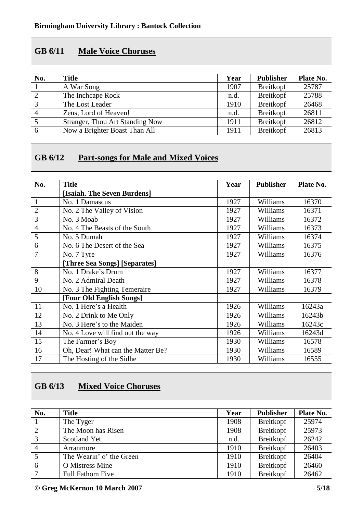#### **GB 6/11 Male Voice Choruses**

| No. | <b>Title</b>                           | Year | <b>Publisher</b> | Plate No. |
|-----|----------------------------------------|------|------------------|-----------|
|     | A War Song                             | 1907 | Breitkopf        | 25787     |
| 2   | The Incheape Rock                      | n.d. | Breitkopf        | 25788     |
| 3   | The Lost Leader                        | 1910 | Breitkopf        | 26468     |
|     | Zeus, Lord of Heaven!                  | n.d. | Breitkopf        | 26811     |
|     | <b>Stranger, Thou Art Standing Now</b> | 1911 | Breitkopf        | 26812     |
| -6  | Now a Brighter Boast Than All          | 1911 | Breitkopf        | 26813     |

## **GB 6/12 Part-songs for Male and Mixed Voices**

| No.            | <b>Title</b>                      | Year | <b>Publisher</b> | Plate No. |
|----------------|-----------------------------------|------|------------------|-----------|
|                | [Isaiah. The Seven Burdens]       |      |                  |           |
| $\mathbf{1}$   | No. 1 Damascus                    | 1927 | Williams         | 16370     |
| $\overline{2}$ | No. 2 The Valley of Vision        | 1927 | Williams         | 16371     |
| $\overline{3}$ | No. 3 Moab                        | 1927 | Williams         | 16372     |
| $\overline{4}$ | No. 4 The Beasts of the South     | 1927 | Williams         | 16373     |
| 5              | No. 5 Dumah                       | 1927 | Williams         | 16374     |
| 6              | No. 6 The Desert of the Sea       | 1927 | Williams         | 16375     |
| $\overline{7}$ | No. 7 Tyre                        | 1927 | Williams         | 16376     |
|                | [Three Sea Songs] [Separates]     |      |                  |           |
| 8              | No. 1 Drake's Drum                | 1927 | Williams         | 16377     |
| 9              | No. 2 Admiral Death               | 1927 | Williams         | 16378     |
| 10             | No. 3 The Fighting Temeraire      | 1927 | Williams         | 16379     |
|                | [Four Old English Songs]          |      |                  |           |
| 11             | No. 1 Here's a Health             | 1926 | Williams         | 16243a    |
| 12             | No. 2 Drink to Me Only            | 1926 | Williams         | 16243b    |
| 13             | No. 3 Here's to the Maiden        | 1926 | Williams         | 16243c    |
| 14             | No. 4 Love will find out the way  | 1926 | Williams         | 16243d    |
| 15             | The Farmer's Boy                  | 1930 | Williams         | 16578     |
| 16             | Oh, Dear! What can the Matter Be? | 1930 | Williams         | 16589     |
| 17             | The Hosting of the Sidhe          | 1930 | Williams         | 16555     |

# **GB 6/13 Mixed Voice Choruses**

| No.            | <b>Title</b>             | Year | <b>Publisher</b> | Plate No. |
|----------------|--------------------------|------|------------------|-----------|
|                | The Tyger                | 1908 | Breitkopf        | 25974     |
| 2              | The Moon has Risen       | 1908 | Breitkopf        | 25973     |
| $\overline{3}$ | Scotland Yet             | n.d. | Breitkopf        | 26242     |
| $\overline{4}$ | Arranmore                | 1910 | Breitkopf        | 26403     |
| $\overline{5}$ | The Wearin' o' the Green | 1910 | Breitkopf        | 26404     |
| 6              | <b>O</b> Mistress Mine   | 1910 | Breitkopf        | 26460     |
| $\tau$         | <b>Full Fathom Five</b>  | 1910 | Breitkopf        | 26462     |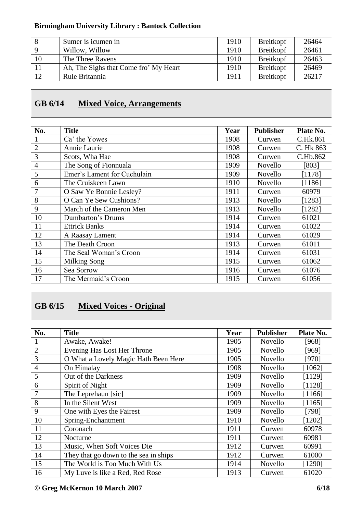|    | Sumer is icumen in                    | 1910 | <b>Breitkopf</b> | 26464 |
|----|---------------------------------------|------|------------------|-------|
|    | Willow, Willow                        | 1910 | Breitkopf        | 26461 |
| 10 | The Three Ravens                      | 1910 | <b>Breitkopf</b> | 26463 |
|    | Ah, The Sighs that Come fro' My Heart | 1910 | <b>Breitkopf</b> | 26469 |
| 12 | Rule Britannia                        | 1911 | <b>Breitkopf</b> | 26217 |

### **GB 6/14 Mixed Voice, Arrangements**

| No.            | <b>Title</b>                | Year | <b>Publisher</b> | Plate No. |
|----------------|-----------------------------|------|------------------|-----------|
|                | Ca' the Yowes               | 1908 | Curwen           | C.Hk.861  |
| $\overline{2}$ | Annie Laurie                | 1908 | Curwen           | C. Hk 863 |
| $\overline{3}$ | Scots, Wha Hae              | 1908 | Curwen           | C.Hb.862  |
| $\overline{4}$ | The Song of Fionnuala       | 1909 | Novello          | [803]     |
| 5              | Emer's Lament for Cuchulain | 1909 | Novello          | [1178]    |
| 6              | The Cruiskeen Lawn          | 1910 | Novello          | [1186]    |
| $\overline{7}$ | O Saw Ye Bonnie Lesley?     | 1911 | Curwen           | 60979     |
| 8              | O Can Ye Sew Cushions?      | 1913 | Novello          | [1283]    |
| 9              | March of the Cameron Men    | 1913 | Novello          | [1282]    |
| 10             | Dumbarton's Drums           | 1914 | Curwen           | 61021     |
| <sup>11</sup>  | <b>Ettrick Banks</b>        | 1914 | Curwen           | 61022     |
| 12             | A Raasay Lament             | 1914 | Curwen           | 61029     |
| 13             | The Death Croon             | 1913 | Curwen           | 61011     |
| 14             | The Seal Woman's Croon      | 1914 | Curwen           | 61031     |
| 15             | Milking Song                | 1915 | Curwen           | 61062     |
| 16             | Sea Sorrow                  | 1916 | Curwen           | 61076     |
| 17             | The Mermaid's Croon         | 1915 | Curwen           | 61056     |

# **GB 6/15 Mixed Voices - Original**

| No.            | <b>Title</b>                          | Year | <b>Publisher</b> | Plate No. |
|----------------|---------------------------------------|------|------------------|-----------|
|                | Awake, Awake!                         | 1905 | Novello          | [968]     |
| $\overline{2}$ | Evening Has Lost Her Throne           | 1905 | <b>Novello</b>   | [969]     |
| $\overline{3}$ | O What a Lovely Magic Hath Been Here  | 1905 | <b>Novello</b>   | [970]     |
| $\overline{4}$ | On Himalay                            | 1908 | Novello          | [1062]    |
| 5              | Out of the Darkness                   | 1909 | Novello          | [1129]    |
| 6              | Spirit of Night                       | 1909 | Novello          | [1128]    |
| $\overline{7}$ | The Leprehaun [sic]                   | 1909 | Novello          | [1166]    |
| 8              | In the Silent West                    | 1909 | <b>Novello</b>   | [1165]    |
| 9              | One with Eyes the Fairest             | 1909 | <b>Novello</b>   | [798]     |
| 10             | Spring-Enchantment                    | 1910 | Novello          | $[1202]$  |
| <sup>11</sup>  | Coronach                              | 1911 | Curwen           | 60978     |
| 12             | Nocturne                              | 1911 | Curwen           | 60981     |
| 13             | Music, When Soft Voices Die           | 1912 | Curwen           | 60991     |
| 14             | They that go down to the sea in ships | 1912 | Curwen           | 61000     |
| 15             | The World is Too Much With Us         | 1914 | Novello          | [1290]    |
| 16             | My Luve is like a Red, Red Rose       | 1913 | Curwen           | 61020     |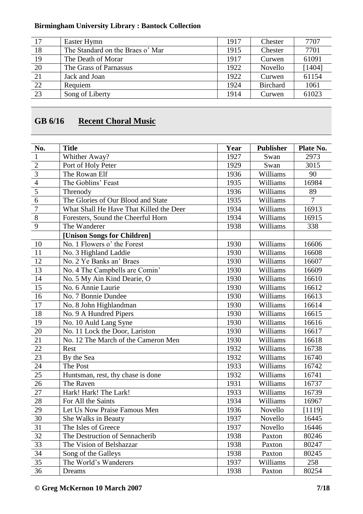| 17              | Easter Hymn                      | 1917 | Chester         | 7707   |
|-----------------|----------------------------------|------|-----------------|--------|
| 18              | The Standard on the Braes o' Mar | 1915 | Chester         | 7701   |
| 19              | The Death of Morar               | 1917 | Curwen          | 61091  |
| 20              | The Grass of Parnassus           | 1922 | Novello         | [1404] |
| 21              | Jack and Joan                    | 1922 | Curwen          | 61154  |
| $\overline{22}$ | Requiem                          | 1924 | <b>Birchard</b> | 1061   |
| $\overline{23}$ | Song of Liberty                  | 1914 | Curwen          | 61023  |

# **GB 6/16 Recent Choral Music**

| No.             | <b>Title</b>                            | Year | <b>Publisher</b> | Plate No.      |
|-----------------|-----------------------------------------|------|------------------|----------------|
| $\,1\,$         | Whither Away?                           | 1927 | Swan             | 2973           |
| $\overline{2}$  | Port of Holy Peter                      | 1929 | Swan             | 3015           |
| $\overline{3}$  | The Rowan Elf                           | 1936 | Williams         | 90             |
| $\frac{4}{5}$   | The Goblins' Feast                      | 1935 | Williams         | 16984          |
|                 | Threnody                                | 1936 | Williams         | 89             |
| $\overline{6}$  | The Glories of Our Blood and State      | 1935 | Williams         | $\overline{7}$ |
| $\overline{7}$  | What Shall He Have That Killed the Deer | 1934 | Williams         | 16913          |
| $\overline{8}$  | Foresters, Sound the Cheerful Horn      | 1934 | Williams         | 16915          |
| 9               | The Wanderer                            | 1938 | Williams         | 338            |
|                 | [Unison Songs for Children]             |      |                  |                |
| 10              | No. 1 Flowers o' the Forest             | 1930 | Williams         | 16606          |
| 11              | No. 3 Highland Laddie                   | 1930 | Williams         | 16608          |
| 12              | No. 2 Ye Banks an' Braes                | 1930 | Williams         | 16607          |
| 13              | No. 4 The Campbells are Comin'          | 1930 | Williams         | 16609          |
| 14              | No. 5 My Ain Kind Dearie, O             | 1930 | Williams         | 16610          |
| 15              | No. 6 Annie Laurie                      | 1930 | Williams         | 16612          |
| 16              | No. 7 Bonnie Dundee                     | 1930 | Williams         | 16613          |
| 17              | No. 8 John Highlandman                  | 1930 | Williams         | 16614          |
| 18              | No. 9 A Hundred Pipers                  | 1930 | Williams         | 16615          |
| 19              | No. 10 Auld Lang Syne                   | 1930 | Williams         | 16616          |
| 20              | No. 11 Lock the Door, Lariston          | 1930 | Williams         | 16617          |
| 21              | No. 12 The March of the Cameron Men     | 1930 | Williams         | 16618          |
| 22              | Rest                                    | 1932 | Williams         | 16738          |
| 23              | By the Sea                              | 1932 | Williams         | 16740          |
| 24              | The Post                                | 1933 | Williams         | 16742          |
| 25              | Huntsman, rest, thy chase is done       | 1932 | Williams         | 16741          |
| 26              | The Raven                               | 1931 | Williams         | 16737          |
| 27              | Hark! Hark! The Lark!                   | 1933 | Williams         | 16739          |
| 28              | For All the Saints                      | 1934 | Williams         | 16967          |
| 29              | Let Us Now Praise Famous Men            | 1936 | Novello          | [1119]         |
| $30\,$          | She Walks in Beauty                     | 1937 | Novello          | 16445          |
| 31              | The Isles of Greece                     | 1937 | Novello          | 16446          |
| $\overline{32}$ | The Destruction of Sennacherib          | 1938 | Paxton           | 80246          |
| 33              | The Vision of Belshazzar                | 1938 | Paxton           | 80247          |
| 34              | Song of the Galleys                     | 1938 | Paxton           | 80245          |
| 35              | The World's Wanderers                   | 1937 | Williams         | 258            |
| 36              | Dreams                                  | 1938 | Paxton           | 80254          |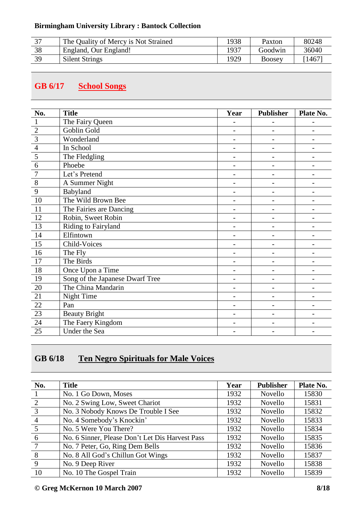| っっ | The Quality of Mercy is Not Strained | 1938 | Paxton  | 80248  |
|----|--------------------------------------|------|---------|--------|
| 38 | England, Our England!                | 1937 | Goodwin | 36040  |
| 39 | <b>Silent Strings</b>                | 1929 | Boosey  | [1467] |

# **GB 6/17 School Songs**

| No.             | <b>Title</b>                    | Year                         | <b>Publisher</b>         | Plate No.                |
|-----------------|---------------------------------|------------------------------|--------------------------|--------------------------|
| $\mathbf{1}$    | The Fairy Queen                 |                              |                          |                          |
|                 | Goblin Gold                     | $\qquad \qquad -$            | -                        | $\overline{\phantom{0}}$ |
| $\frac{2}{3}$   | Wonderland                      |                              |                          |                          |
| $\overline{4}$  | In School                       |                              |                          |                          |
| $\overline{5}$  | The Fledgling                   | $\qquad \qquad -$            | $\overline{\phantom{0}}$ |                          |
| $\overline{6}$  | Phoebe                          | $\overline{\phantom{0}}$     | $\overline{a}$           | $\overline{\phantom{0}}$ |
| $\overline{7}$  | Let's Pretend                   | $\qquad \qquad -$            | -                        | -                        |
| $8\,$           | A Summer Night                  | $\overline{\phantom{0}}$     |                          |                          |
| $\overline{9}$  | Babyland                        |                              |                          |                          |
| 10              | The Wild Brown Bee              |                              |                          |                          |
| 11              | The Fairies are Dancing         | $\qquad \qquad -$            |                          |                          |
| $\overline{12}$ | Robin, Sweet Robin              | $\qquad \qquad -$            | $\overline{\phantom{0}}$ | $\overline{\phantom{0}}$ |
| 13              | Riding to Fairyland             | $\qquad \qquad \blacksquare$ |                          | $\overline{a}$           |
| 14              | Elfintown                       | $\overline{\phantom{0}}$     |                          |                          |
| 15              | Child-Voices                    |                              |                          |                          |
| 16              | The Fly                         | $\qquad \qquad -$            |                          |                          |
| 17              | The Birds                       | $\overline{\phantom{0}}$     |                          |                          |
| 18              | Once Upon a Time                | $\overline{\phantom{0}}$     |                          |                          |
| 19              | Song of the Japanese Dwarf Tree | $\qquad \qquad -$            |                          |                          |
| $20\,$          | The China Mandarin              |                              |                          |                          |
| 21              | Night Time                      | $\overline{\phantom{0}}$     |                          |                          |
| $\overline{22}$ | Pan                             | -                            | $\overline{a}$           | $\overline{a}$           |
| 23              | <b>Beauty Bright</b>            | $\qquad \qquad -$            |                          |                          |
| 24              | The Faery Kingdom               | $\qquad \qquad -$            | $\overline{\phantom{0}}$ |                          |
| 25              | Under the Sea                   |                              |                          |                          |

# **GB 6/18 Ten Negro Spirituals for Male Voices**

| No.             | <b>Title</b>                                    | Year | <b>Publisher</b> | Plate No. |
|-----------------|-------------------------------------------------|------|------------------|-----------|
|                 | No. 1 Go Down, Moses                            | 1932 | Novello          | 15830     |
| 2               | No. 2 Swing Low, Sweet Chariot                  | 1932 | Novello          | 15831     |
| $\overline{3}$  | No. 3 Nobody Knows De Trouble I See             | 1932 | Novello          | 15832     |
| $\overline{4}$  | No. 4 Somebody's Knockin'                       | 1932 | Novello          | 15833     |
| $5\overline{5}$ | No. 5 Were You There?                           | 1932 | Novello          | 15834     |
| -6              | No. 6 Sinner, Please Don't Let Dis Harvest Pass | 1932 | Novello          | 15835     |
| 7               | No. 7 Peter, Go, Ring Dem Bells                 | 1932 | Novello          | 15836     |
| 8               | No. 8 All God's Chillun Got Wings               | 1932 | Novello          | 15837     |
| 9               | No. 9 Deep River                                | 1932 | Novello          | 15838     |
| 10              | No. 10 The Gospel Train                         | 1932 | Novello          | 15839     |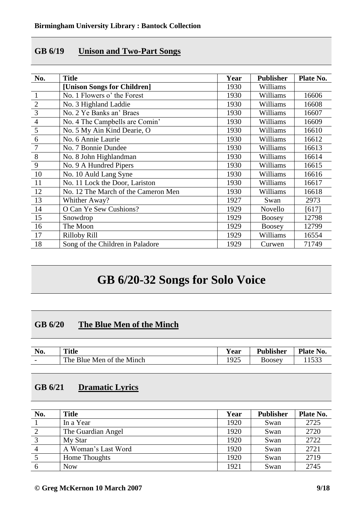#### **GB 6/19 Unison and Two-Part Songs**

| No.            | <b>Title</b>                        | Year | <b>Publisher</b> | Plate No. |
|----------------|-------------------------------------|------|------------------|-----------|
|                | [Unison Songs for Children]         | 1930 | Williams         |           |
| $\mathbf{1}$   | No. 1 Flowers o' the Forest         | 1930 | Williams         | 16606     |
| $\overline{2}$ | No. 3 Highland Laddie               | 1930 | Williams         | 16608     |
| 3              | No. 2 Ye Banks an' Braes            | 1930 | Williams         | 16607     |
| $\overline{4}$ | No. 4 The Campbells are Comin'      | 1930 | Williams         | 16609     |
| 5              | No. 5 My Ain Kind Dearie, O         | 1930 | Williams         | 16610     |
| 6              | No. 6 Annie Laurie                  | 1930 | Williams         | 16612     |
| 7              | No. 7 Bonnie Dundee                 | 1930 | Williams         | 16613     |
| 8              | No. 8 John Highlandman              | 1930 | Williams         | 16614     |
| 9              | No. 9 A Hundred Pipers              | 1930 | Williams         | 16615     |
| 10             | No. 10 Auld Lang Syne               | 1930 | Williams         | 16616     |
| 11             | No. 11 Lock the Door, Lariston      | 1930 | Williams         | 16617     |
| 12             | No. 12 The March of the Cameron Men | 1930 | Williams         | 16618     |
| 13             | Whither Away?                       | 1927 | Swan             | 2973      |
| 14             | O Can Ye Sew Cushions?              | 1929 | Novello          | [617]     |
| 15             | Snowdrop                            | 1929 | <b>Boosey</b>    | 12798     |
| 16             | The Moon                            | 1929 | Boosey           | 12799     |
| 17             | <b>Rilloby Rill</b>                 | 1929 | Williams         | 16554     |
| 18             | Song of the Children in Paladore    | 1929 | Curwen           | 71749     |

# **GB 6/20-32 Songs for Solo Voice**

### **GB 6/20 The Blue Men of the Minch**

| No.                      | <b>Title</b>                         | $\mathbf{v}$<br>r ear | Publisher     | Plate No.            |
|--------------------------|--------------------------------------|-----------------------|---------------|----------------------|
| $\overline{\phantom{0}}$ | The.<br><b>Blue Men of the Minch</b> | 1025<br>ر ے ر         | <b>BOOSEV</b> | $\sim$ $\sim$ $\sim$ |

## **GB 6/21 Dramatic Lyrics**

| No. | <b>Title</b>        | Year | <b>Publisher</b> | Plate No. |
|-----|---------------------|------|------------------|-----------|
|     | In a Year           | 1920 | Swan             | 2725      |
|     | The Guardian Angel  | 1920 | Swan             | 2720      |
|     | My Star             | 1920 | Swan             | 2722      |
|     | A Woman's Last Word | 1920 | Swan             | 2721      |
|     | Home Thoughts       | 1920 | Swan             | 2719      |
| 6   | <b>Now</b>          | 1921 | Swan             | 2745      |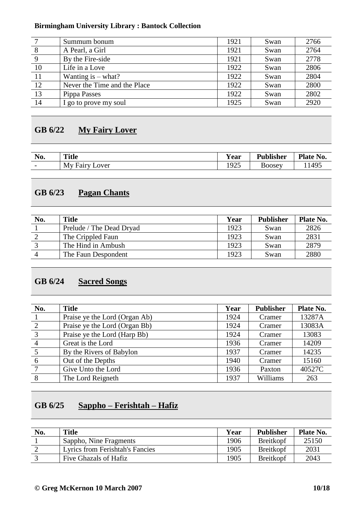|               | Summum bonum                 | 1921 | Swan | 2766 |
|---------------|------------------------------|------|------|------|
| 8             | A Pearl, a Girl              | 1921 | Swan | 2764 |
| 9             | By the Fire-side             | 1921 | Swan | 2778 |
| 10            | Life in a Love               | 1922 | Swan | 2806 |
| <sup>11</sup> | Wanting is $-\text{what?}$   | 1922 | Swan | 2804 |
| 12            | Never the Time and the Place | 1922 | Swan | 2800 |
| 13            | Pippa Passes                 | 1922 | Swan | 2802 |
| 14            | I go to prove my soul        | 1925 | Swan | 2920 |

### **GB 6/22 My Fairy Lover**

| No.                      | <b>Title</b>      | $\mathbf{r}$<br>r ear | <b>Publisher</b> | Plate No. |
|--------------------------|-------------------|-----------------------|------------------|-----------|
| $\overline{\phantom{0}}$ | My Fairy<br>Lover | 1925                  | <b>Boosey</b>    | 11495     |

# **GB 6/23 Pagan Chants**

| No. | <b>Title</b>             | Year | <b>Publisher</b> | Plate No. |
|-----|--------------------------|------|------------------|-----------|
|     | Prelude / The Dead Dryad | 1923 | Swan             | 2826      |
|     | The Crippled Faun        | 1923 | Swan             | 2831      |
|     | The Hind in Ambush       | 1923 | Swan             | 2879      |
|     | The Faun Despondent      | 1923 | Swan             | 2880      |

# **GB 6/24 Sacred Songs**

| No.            | <b>Title</b>                  | Year | <b>Publisher</b> | Plate No. |
|----------------|-------------------------------|------|------------------|-----------|
|                | Praise ye the Lord (Organ Ab) | 1924 | Cramer           | 13287A    |
| 2              | Praise ye the Lord (Organ Bb) | 1924 | Cramer           | 13083A    |
| $\overline{3}$ | Praise ye the Lord (Harp Bb)  | 1924 | Cramer           | 13083     |
|                | Great is the Lord             | 1936 | Cramer           | 14209     |
| $\overline{5}$ | By the Rivers of Babylon      | 1937 | Cramer           | 14235     |
| 6              | Out of the Depths             | 1940 | Cramer           | 15160     |
|                | Give Unto the Lord            | 1936 | Paxton           | 40527C    |
| 8              | The Lord Reigneth             | 1937 | Williams         | 263       |

# **GB 6/25 Sappho – Ferishtah – Hafiz**

| No. | <b>Title</b>                    | Year | <b>Publisher</b> | Plate No. |
|-----|---------------------------------|------|------------------|-----------|
|     | Sappho, Nine Fragments          | 1906 | Breitkopf        | 25150     |
|     | Lyrics from Ferishtah's Fancies | 1905 | <b>Breitkopf</b> | 2031      |
|     | Five Ghazals of Hafiz           | 1905 | <b>Breitkopf</b> | 2043      |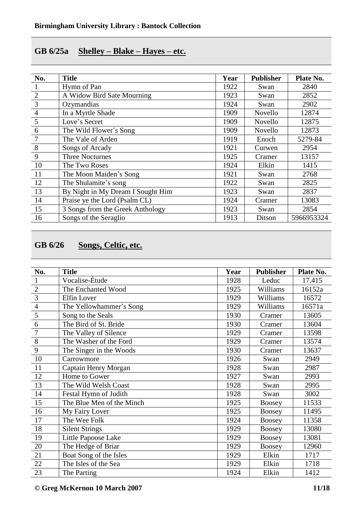#### **GB 6/25a Shelley – Blake – Hayes – etc.**

| No.            | <b>Title</b>                      | Year | <b>Publisher</b> | Plate No.  |
|----------------|-----------------------------------|------|------------------|------------|
| $\bf{I}$       | Hymn of Pan                       | 1922 | Swan             | 2840       |
| $\overline{2}$ | A Widow Bird Sate Mourning        | 1923 | Swan             | 2852       |
| $\overline{3}$ | Ozymandias                        | 1924 | Swan             | 2902       |
| $\overline{4}$ | In a Myrtle Shade                 | 1909 | Novello          | 12874      |
| 5              | Love's Secret                     | 1909 | Novello          | 12875      |
| 6              | The Wild Flower's Song            | 1909 | Novello          | 12873      |
|                | The Vale of Arden                 | 1919 | Enoch            | 5279-84    |
| 8              | Songs of Arcady                   | 1921 | Curwen           | 2954       |
| 9              | <b>Three Nocturnes</b>            | 1925 | Cramer           | 13157      |
| 10             | The Two Roses                     | 1924 | Elkin            | 1415       |
| <sup>11</sup>  | The Moon Maiden's Song            | 1921 | Swan             | 2768       |
| 12             | The Shulamite's song              | 1922 | Swan             | 2825       |
| 13             | By Night in My Dream I Sought Him | 1923 | Swan             | 2837       |
| 14             | Praise ye the Lord (Psalm CL)     | 1924 | Cramer           | 13083      |
| 15             | 3 Songs from the Greek Anthology  | 1923 | Swan             | 2854       |
| 16             | Songs of the Seraglio             | 1913 | Ditson           | 5966953324 |

## **GB 6/26 Songs, Celtic, etc.**

| No.            | <b>Title</b>              | Year | <b>Publisher</b> | Plate No. |
|----------------|---------------------------|------|------------------|-----------|
| 1              | Vocalise-Étude            | 1928 | Leduc            | 17,415    |
| $\overline{2}$ | The Enchanted Wood        | 1925 | Williams         | 16152a    |
| $\overline{3}$ | Elfin Lover               | 1929 | Williams         | 16572     |
| $\overline{4}$ | The Yellowhammer's Song   | 1929 | Williams         | 16571a    |
| $\overline{5}$ | Song to the Seals         | 1930 | Cramer           | 13605     |
| 6              | The Bird of St. Bride     | 1930 | Cramer           | 13604     |
| $\overline{7}$ | The Valley of Silence     | 1929 | Cramer           | 13598     |
| $\overline{8}$ | The Washer of the Ford    | 1929 | Cramer           | 13574     |
| 9              | The Singer in the Woods   | 1930 | Cramer           | 13637     |
| 10             | Carrowmore                | 1926 | Swan             | 2949      |
| 11             | Captain Henry Morgan      | 1928 | Swan             | 2987      |
| 12             | Home to Gower             | 1927 | Swan             | 2993      |
| 13             | The Wild Welsh Coast      | 1928 | Swan             | 2995      |
| 14             | Festal Hymn of Judith     | 1928 | Swan             | 3002      |
| 15             | The Blue Men of the Minch | 1925 | <b>Boosey</b>    | 11533     |
| 16             | My Fairy Lover            | 1925 | <b>Boosey</b>    | 11495     |
| 17             | The Wee Folk              | 1924 | <b>Boosey</b>    | 11358     |
| 18             | <b>Silent Strings</b>     | 1929 | Boosey           | 13080     |
| 19             | Little Papoose Lake       | 1929 | <b>Boosey</b>    | 13081     |
| 20             | The Hedge of Briar        | 1929 | <b>Boosey</b>    | 12960     |
| 21             | Boat Song of the Isles    | 1929 | Elkin            | 1717      |
| 22             | The Isles of the Sea      | 1929 | Elkin            | 1718      |
| 23             | The Parting               | 1924 | Elkin            | 1412      |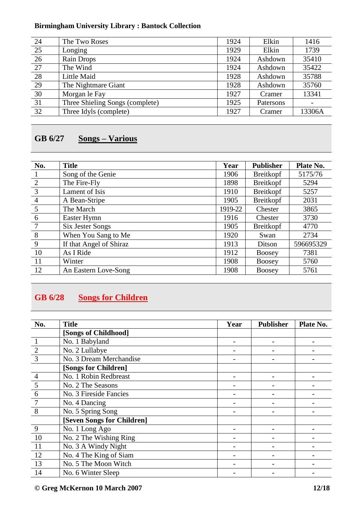| 1416   |
|--------|
| 1739   |
|        |
| 35410  |
| 35422  |
| 35788  |
| 35760  |
| 13341  |
|        |
| 13306A |
|        |

# **GB 6/27 Songs – Various**

| No.             | <b>Title</b>            | Year    | <b>Publisher</b> | Plate No. |
|-----------------|-------------------------|---------|------------------|-----------|
|                 | Song of the Genie       | 1906    | Breitkopf        | 5175/76   |
| 2               | The Fire-Fly            | 1898    | <b>Breitkopf</b> | 5294      |
| $\overline{3}$  | Lament of Isis          | 1910    | <b>Breitkopf</b> | 5257      |
| $\overline{4}$  | A Bean-Stripe           | 1905    | <b>Breitkopf</b> | 2031      |
| $5\overline{)}$ | The March               | 1919-22 | Chester          | 3865      |
| 6               | Easter Hymn             | 1916    | Chester          | 3730      |
| $7\phantom{.0}$ | Six Jester Songs        | 1905    | Breitkopf        | 4770      |
| 8               | When You Sang to Me     | 1920    | Swan             | 2734      |
| 9               | If that Angel of Shiraz | 1913    | Ditson           | 596695329 |
| <sup>10</sup>   | As I Ride               | 1912    | <b>Boosey</b>    | 7381      |
| <sup>11</sup>   | Winter                  | 1908    | <b>Boosey</b>    | 5760      |
| 12              | An Eastern Love-Song    | 1908    | <b>Boosey</b>    | 5761      |

# **GB 6/28 Songs for Children**

| No.            | <b>Title</b>               | Year | <b>Publisher</b> | Plate No. |
|----------------|----------------------------|------|------------------|-----------|
|                | [Songs of Childhood]       |      |                  |           |
|                | No. 1 Babyland             |      |                  |           |
| $\frac{2}{3}$  | No. 2 Lullabye             |      |                  |           |
|                | No. 3 Dream Merchandise    |      |                  |           |
|                | [Songs for Children]       |      |                  |           |
| $\overline{4}$ | No. 1 Robin Redbreast      |      |                  |           |
| 5              | No. 2 The Seasons          |      |                  |           |
| 6              | No. 3 Fireside Fancies     |      |                  |           |
| 7              | No. 4 Dancing              |      |                  |           |
| 8              | No. 5 Spring Song          |      |                  |           |
|                | [Seven Songs for Children] |      |                  |           |
| 9              | No. 1 Long Ago             |      |                  |           |
| 10             | No. 2 The Wishing Ring     |      |                  |           |
| <sup>11</sup>  | No. 3 A Windy Night        |      |                  |           |
| 12             | No. 4 The King of Siam     |      |                  |           |
| 13             | No. 5 The Moon Witch       |      |                  |           |
| 14             | No. 6 Winter Sleep         |      |                  |           |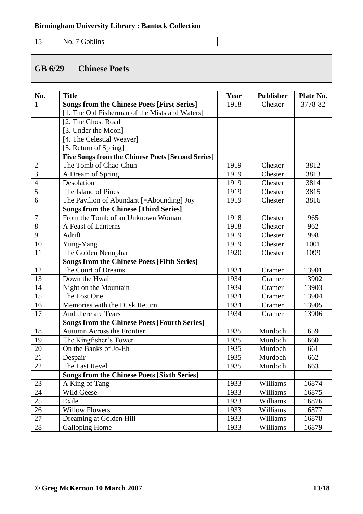| -- | N.<br>.<br>$\sim$ $\sim$ $\sim$ |  |  |
|----|---------------------------------|--|--|

### **GB 6/29 Chinese Poets**

| No.                     | <b>Title</b>                                             | Year | <b>Publisher</b> | Plate No. |
|-------------------------|----------------------------------------------------------|------|------------------|-----------|
| $\mathbf{1}$            | <b>Songs from the Chinese Poets [First Series]</b>       | 1918 | Chester          | 3778-82   |
|                         | [1. The Old Fisherman of the Mists and Waters]           |      |                  |           |
|                         | [2. The Ghost Road]                                      |      |                  |           |
|                         | [3. Under the Moon]                                      |      |                  |           |
|                         | [4. The Celestial Weaver]                                |      |                  |           |
|                         | [5. Return of Spring]                                    |      |                  |           |
|                         | <b>Five Songs from the Chinese Poets [Second Series]</b> |      |                  |           |
| $\overline{2}$          | The Tomb of Chao-Chun                                    | 1919 | Chester          | 3812      |
| $\overline{3}$          | A Dream of Spring                                        | 1919 | Chester          | 3813      |
| $\frac{1}{4}$           | Desolation                                               | 1919 | Chester          | 3814      |
| $\overline{\mathbf{5}}$ | The Island of Pines                                      | 1919 | Chester          | 3815      |
| $\overline{6}$          | The Pavilion of Abundant [=Abounding] Joy                | 1919 | Chester          | 3816      |
|                         | <b>Songs from the Chinese [Third Series]</b>             |      |                  |           |
| $\overline{7}$          | From the Tomb of an Unknown Woman                        | 1918 | Chester          | 965       |
| $\overline{8}$          | A Feast of Lanterns                                      | 1918 | Chester          | 962       |
| $\overline{9}$          | Adrift                                                   | 1919 | Chester          | 998       |
| 10                      | Yung-Yang                                                | 1919 | Chester          | 1001      |
| 11                      | The Golden Nenuphar                                      | 1920 | Chester          | 1099      |
|                         | <b>Songs from the Chinese Poets [Fifth Series]</b>       |      |                  |           |
| 12                      | The Court of Dreams                                      | 1934 | Cramer           | 13901     |
| 13                      | Down the Hwai                                            | 1934 | Cramer           | 13902     |
| 14                      | Night on the Mountain                                    | 1934 | Cramer           | 13903     |
| 15                      | The Lost One                                             | 1934 | Cramer           | 13904     |
| 16                      | Memories with the Dusk Return                            | 1934 | Cramer           | 13905     |
| 17                      | And there are Tears                                      | 1934 | Cramer           | 13906     |
|                         | <b>Songs from the Chinese Poets [Fourth Series]</b>      |      |                  |           |
| 18                      | <b>Autumn Across the Frontier</b>                        | 1935 | Murdoch          | 659       |
| 19                      | The Kingfisher's Tower                                   | 1935 | Murdoch          | 660       |
| 20                      | On the Banks of Jo-Eh                                    | 1935 | Murdoch          | 661       |
| 21                      | Despair                                                  | 1935 | Murdoch          | 662       |
| 22                      | The Last Revel                                           | 1935 | Murdoch          | 663       |
|                         | <b>Songs from the Chinese Poets [Sixth Series]</b>       |      |                  |           |
| 23                      | A King of Tang                                           | 1933 | Williams         | 16874     |
| 24                      | Wild Geese                                               | 1933 | Williams         | 16875     |
| $25\,$                  | Exile                                                    | 1933 | Williams         | 16876     |
| 26                      | <b>Willow Flowers</b>                                    | 1933 | Williams         | 16877     |
| 27                      | Dreaming at Golden Hill                                  | 1933 | Williams         | 16878     |
| 28                      | <b>Galloping Home</b>                                    | 1933 | Williams         | 16879     |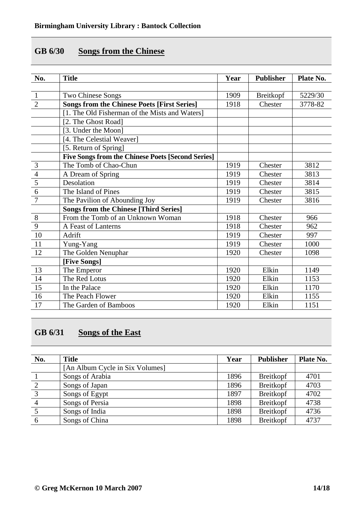### **GB 6/30 Songs from the Chinese**

| No.            | <b>Title</b>                                             | Year | <b>Publisher</b> | Plate No. |
|----------------|----------------------------------------------------------|------|------------------|-----------|
|                |                                                          |      |                  |           |
| $\mathbf{1}$   | Two Chinese Songs                                        | 1909 | Breitkopf        | 5229/30   |
| $\overline{2}$ | <b>Songs from the Chinese Poets [First Series]</b>       | 1918 | Chester          | 3778-82   |
|                | [1. The Old Fisherman of the Mists and Waters]           |      |                  |           |
|                | [2. The Ghost Road]                                      |      |                  |           |
|                | [3. Under the Moon]                                      |      |                  |           |
|                | [4. The Celestial Weaver]                                |      |                  |           |
|                | [5. Return of Spring]                                    |      |                  |           |
|                | <b>Five Songs from the Chinese Poets [Second Series]</b> |      |                  |           |
| $\overline{3}$ | The Tomb of Chao-Chun                                    | 1919 | Chester          | 3812      |
| $\overline{4}$ | A Dream of Spring                                        | 1919 | Chester          | 3813      |
| $\overline{5}$ | Desolation                                               | 1919 | Chester          | 3814      |
| $\overline{6}$ | The Island of Pines                                      | 1919 | Chester          | 3815      |
| $\overline{7}$ | The Pavilion of Abounding Joy                            | 1919 | Chester          | 3816      |
|                | <b>Songs from the Chinese [Third Series]</b>             |      |                  |           |
| 8              | From the Tomb of an Unknown Woman                        | 1918 | Chester          | 966       |
| 9              | A Feast of Lanterns                                      | 1918 | Chester          | 962       |
| 10             | Adrift                                                   | 1919 | Chester          | 997       |
| 11             | Yung-Yang                                                | 1919 | Chester          | 1000      |
| 12             | The Golden Nenuphar                                      | 1920 | Chester          | 1098      |
|                | [Five Songs]                                             |      |                  |           |
| 13             | The Emperor                                              | 1920 | Elkin            | 1149      |
| 14             | The Red Lotus                                            | 1920 | Elkin            | 1153      |
| 15             | In the Palace                                            | 1920 | Elkin            | 1170      |
| 16             | The Peach Flower                                         | 1920 | Elkin            | 1155      |
| 17             | The Garden of Bamboos                                    | 1920 | Elkin            | 1151      |

# **GB 6/31 Songs of the East**

| No.           | <b>Title</b>                    | Year | <b>Publisher</b> | Plate No. |
|---------------|---------------------------------|------|------------------|-----------|
|               | [An Album Cycle in Six Volumes] |      |                  |           |
|               | Songs of Arabia                 | 1896 | <b>Breitkopf</b> | 4701      |
| 2             | Songs of Japan                  | 1896 | Breitkopf        | 4703      |
| $\mathcal{R}$ | Songs of Egypt                  | 1897 | Breitkopf        | 4702      |
|               | Songs of Persia                 | 1898 | <b>Breitkopf</b> | 4738      |
|               | Songs of India                  | 1898 | Breitkopf        | 4736      |
| 6             | Songs of China                  | 1898 | <b>Breitkopf</b> | 4737      |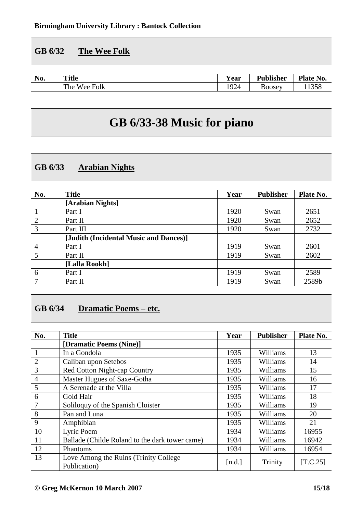### **GB 6/32 The Wee Folk**

| $\mathbf{H}$<br>No. | <b>Title</b>                       | <b>Y</b> ear | <b>Publisher</b> | Plate No. |
|---------------------|------------------------------------|--------------|------------------|-----------|
|                     | The<br><b>TTT</b><br>Folk<br>Wee 1 | 1924         | $\Delta 00$ Sev  | 1358      |

# **GB 6/33-38 Music for piano**

### **GB 6/33 Arabian Nights**

| No.            | <b>Title</b>                           | Year | <b>Publisher</b> | Plate No. |
|----------------|----------------------------------------|------|------------------|-----------|
|                | [Arabian Nights]                       |      |                  |           |
|                | Part I                                 | 1920 | Swan             | 2651      |
| 2              | Part II                                | 1920 | Swan             | 2652      |
| $\overline{3}$ | Part III                               | 1920 | Swan             | 2732      |
|                | [Judith (Incidental Music and Dances)] |      |                  |           |
| $\overline{4}$ | Part I                                 | 1919 | Swan             | 2601      |
| 5              | Part II                                | 1919 | Swan             | 2602      |
|                | [Lalla Rookh]                          |      |                  |           |
| 6              | Part I                                 | 1919 | Swan             | 2589      |
| 7              | Part II                                | 1919 | Swan             | 2589b     |

# **GB 6/34 Dramatic Poems – etc.**

| No.            | <b>Title</b>                                           | Year   | <b>Publisher</b> | Plate No. |
|----------------|--------------------------------------------------------|--------|------------------|-----------|
|                | [Dramatic Poems (Nine)]                                |        |                  |           |
|                | In a Gondola                                           | 1935   | Williams         | 13        |
| $\overline{2}$ | Caliban upon Setebos                                   | 1935   | Williams         | 14        |
| $\overline{3}$ | <b>Red Cotton Night-cap Country</b>                    | 1935   | Williams         | 15        |
| $\overline{4}$ | Master Hugues of Saxe-Gotha                            | 1935   | Williams         | 16        |
| 5              | A Serenade at the Villa                                | 1935   | Williams         | 17        |
| 6              | Gold Hair                                              | 1935   | Williams         | 18        |
| $\overline{7}$ | Soliloquy of the Spanish Cloister                      | 1935   | Williams         | 19        |
| 8              | Pan and Luna                                           | 1935   | Williams         | 20        |
| 9              | Amphibian                                              | 1935   | Williams         | 21        |
| 10             | Lyric Poem                                             | 1934   | Williams         | 16955     |
| 11             | Ballade (Childe Roland to the dark tower came)         | 1934   | Williams         | 16942     |
| 12             | Phantoms                                               | 1934   | Williams         | 16954     |
| 13             | Love Among the Ruins (Trinity College)<br>Publication) | [n.d.] | Trinity          | [T.C.25]  |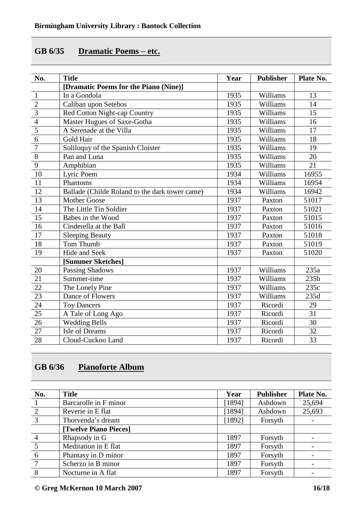## **GB 6/35 Dramatic Poems – etc.**

| No.                     | <b>Title</b>                                   | Year | <b>Publisher</b> | Plate No.       |
|-------------------------|------------------------------------------------|------|------------------|-----------------|
|                         | [Dramatic Poems for the Piano (Nine)]          |      |                  |                 |
| $\mathbf{1}$            | In a Gondola                                   | 1935 | Williams         | 13              |
|                         | Caliban upon Setebos                           | 1935 | Williams         | 14              |
|                         | Red Cotton Night-cap Country                   | 1935 | Williams         | $\overline{15}$ |
| $\frac{2}{\frac{3}{4}}$ | Master Hugues of Saxe-Gotha                    | 1935 | Williams         | 16              |
|                         | A Serenade at the Villa                        | 1935 | Williams         | 17              |
| $\overline{6}$          | Gold Hair                                      | 1935 | Williams         | 18              |
| $\overline{7}$          | Soliloquy of the Spanish Cloister              | 1935 | Williams         | 19              |
| $\overline{8}$          | Pan and Luna                                   | 1935 | Williams         | 20              |
| $\overline{9}$          | Amphibian                                      | 1935 | Williams         | 21              |
| $\overline{10}$         | Lyric Poem                                     | 1934 | Williams         | 16955           |
| 11                      | Phantoms                                       | 1934 | Williams         | 16954           |
| 12                      | Ballade (Childe Roland to the dark tower came) | 1934 | Williams         | 16942           |
| 13                      | <b>Mother Goose</b>                            | 1937 | Paxton           | 51017           |
| 14                      | The Little Tin Soldier                         | 1937 | Paxton           | 51021           |
| 15                      | Babes in the Wood                              | 1937 | Paxton           | 51015           |
| $\overline{16}$         | Cinderella at the Ball                         | 1937 | Paxton           | 51016           |
| 17                      | <b>Sleeping Beauty</b>                         | 1937 | Paxton           | 51018           |
| 18                      | Tom Thumb                                      | 1937 | Paxton           | 51019           |
| 19                      | Hide and Seek                                  | 1937 | Paxton           | 51020           |
|                         | [Summer Sketches]                              |      |                  |                 |
| 20                      | <b>Passing Shadows</b>                         | 1937 | Williams         | 235a            |
| 21                      | Summer-time                                    | 1937 | Williams         | 235b            |
| 22                      | The Lonely Pine                                | 1937 | Williams         | 235c            |
| 23                      | Dance of Flowers                               | 1937 | Williams         | 235d            |
| 24                      | <b>Toy Dancers</b>                             | 1937 | Ricordi          | 29              |
| 25                      | A Tale of Long Ago                             | 1937 | Ricordi          | 31              |
| 26                      | <b>Wedding Bells</b>                           | 1937 | Ricordi          | 30              |
| 27                      | Isle of Dreams                                 | 1937 | Ricordi          | 32              |
| 28                      | Cloud-Cuckoo Land                              | 1937 | Ricordi          | 33              |

# **GB 6/36 Pianoforte Album**

| No.             | <b>Title</b>          | Year   | <b>Publisher</b> | Plate No. |
|-----------------|-----------------------|--------|------------------|-----------|
|                 | Barcarolle in F minor | [1894] | Ashdown          | 25,694    |
| 2               | Reverie in E flat     | [1894] | Ashdown          | 25,693    |
| $\overline{3}$  | Thorvenda's dream     | [1892] | Forsyth          |           |
|                 | [Twelve Piano Pieces] |        |                  |           |
| $\overline{4}$  | Rhapsody in G         | 1897   | Forsyth          |           |
| $\overline{5}$  | Meditation in E flat  | 1897   | Forsyth          |           |
| 6               | Phantasy in D minor   | 1897   | Forsyth          |           |
| $7\phantom{.0}$ | Scherzo in B minor    | 1897   | Forsyth          |           |
| 8               | Nocturne in A flat    | 1897   | Forsyth          |           |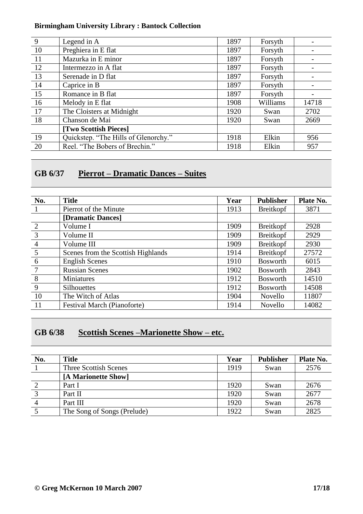| 9             | Legend in A                          | 1897 | Forsyth  |       |
|---------------|--------------------------------------|------|----------|-------|
| -10           | Preghiera in E flat                  | 1897 | Forsyth  |       |
| -11           | Mazurka in E minor                   | 1897 | Forsyth  |       |
| <sup>12</sup> | Intermezzo in A flat                 | 1897 | Forsyth  |       |
| 13            | Serenade in D flat                   | 1897 | Forsyth  |       |
| 14            | Caprice in B                         | 1897 | Forsyth  |       |
| 15            | Romance in B flat                    | 1897 | Forsyth  |       |
| 16            | Melody in E flat                     | 1908 | Williams | 14718 |
| -17           | The Cloisters at Midnight            | 1920 | Swan     | 2702  |
| 18            | Chanson de Mai                       | 1920 | Swan     | 2669  |
|               | [Two Scottish Pieces]                |      |          |       |
| 19            | Quickstep. "The Hills of Glenorchy." | 1918 | Elkin    | 956   |
| 20            | Reel. "The Bobers of Brechin."       | 1918 | Elkin    | 957   |

# **GB 6/37 Pierrot – Dramatic Dances – Suites**

| No.            | <b>Title</b>                       | Year | <b>Publisher</b> | Plate No. |
|----------------|------------------------------------|------|------------------|-----------|
|                | Pierrot of the Minute              | 1913 | Breitkopf        | 3871      |
|                | [Dramatic Dances]                  |      |                  |           |
| 2              | Volume I                           | 1909 | Breitkopf        | 2928      |
| $\overline{3}$ | Volume II                          | 1909 | Breitkopf        | 2929      |
| $\overline{4}$ | Volume III                         | 1909 | <b>Breitkopf</b> | 2930      |
| 5              | Scenes from the Scottish Highlands | 1914 | <b>Breitkopf</b> | 27572     |
| 6              | <b>English Scenes</b>              | 1910 | <b>Bosworth</b>  | 6015      |
| $\overline{7}$ | <b>Russian Scenes</b>              | 1902 | <b>Bosworth</b>  | 2843      |
| 8              | Miniatures                         | 1912 | <b>Bosworth</b>  | 14510     |
| 9              | <b>Silhouettes</b>                 | 1912 | <b>Bosworth</b>  | 14508     |
| 10             | The Witch of Atlas                 | 1904 | Novello          | 11807     |
| 11             | <b>Festival March (Pianoforte)</b> | 1914 | Novello          | 14082     |

### **GB 6/38 Scottish Scenes –Marionette Show – etc.**

| No. | <b>Title</b>                 | Year | <b>Publisher</b> | Plate No. |
|-----|------------------------------|------|------------------|-----------|
|     | <b>Three Scottish Scenes</b> | 1919 | Swan             | 2576      |
|     | [A Marionette Show]          |      |                  |           |
|     | Part I                       | 1920 | Swan             | 2676      |
|     | Part II                      | 1920 | Swan             | 2677      |
|     | Part III                     | 1920 | Swan             | 2678      |
|     | The Song of Songs (Prelude)  | 1922 | Swan             | 2825      |